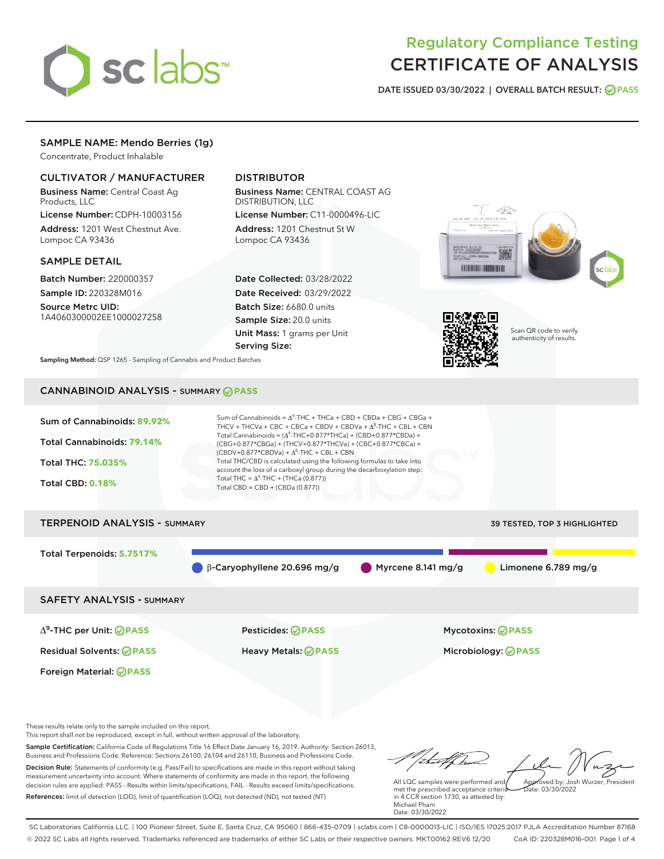

# Regulatory Compliance Testing CERTIFICATE OF ANALYSIS

DATE ISSUED 03/30/2022 | OVERALL BATCH RESULT: @ PASS

# SAMPLE NAME: Mendo Berries (1g)

Concentrate, Product Inhalable

# CULTIVATOR / MANUFACTURER

Business Name: Central Coast Ag Products, LLC

License Number: CDPH-10003156 Address: 1201 West Chestnut Ave. Lompoc CA 93436

#### SAMPLE DETAIL

Batch Number: 220000357 Sample ID: 220328M016

Source Metrc UID: 1A4060300002EE1000027258

# DISTRIBUTOR

Business Name: CENTRAL COAST AG DISTRIBUTION, LLC License Number: C11-0000496-LIC

Address: 1201 Chestnut St W Lompoc CA 93436

Date Collected: 03/28/2022 Date Received: 03/29/2022 Batch Size: 6680.0 units Sample Size: 20.0 units Unit Mass: 1 grams per Unit Serving Size:





Scan QR code to verify authenticity of results.

Sampling Method: QSP 1265 - Sampling of Cannabis and Product Batches

# CANNABINOID ANALYSIS - SUMMARY **PASS**



These results relate only to the sample included on this report.

This report shall not be reproduced, except in full, without written approval of the laboratory.

Sample Certification: California Code of Regulations Title 16 Effect Date January 16, 2019. Authority: Section 26013, Business and Professions Code. Reference: Sections 26100, 26104 and 26110, Business and Professions Code. Decision Rule: Statements of conformity (e.g. Pass/Fail) to specifications are made in this report without taking measurement uncertainty into account. Where statements of conformity are made in this report, the following decision rules are applied: PASS - Results within limits/specifications, FAIL - Results exceed limits/specifications.

References: limit of detection (LOD), limit of quantification (LOQ), not detected (ND), not tested (NT)

tu#f h Approved by: Josh Wurzer, President

 $ate: 03/30/2022$ 

All LQC samples were performed and met the prescribed acceptance criteria in 4 CCR section 1730, as attested by: Michael Pham Date: 03/30/2022

SC Laboratories California LLC. | 100 Pioneer Street, Suite E, Santa Cruz, CA 95060 | 866-435-0709 | sclabs.com | C8-0000013-LIC | ISO/IES 17025:2017 PJLA Accreditation Number 87168 © 2022 SC Labs all rights reserved. Trademarks referenced are trademarks of either SC Labs or their respective owners. MKT00162 REV6 12/20 CoA ID: 220328M016-001 Page 1 of 4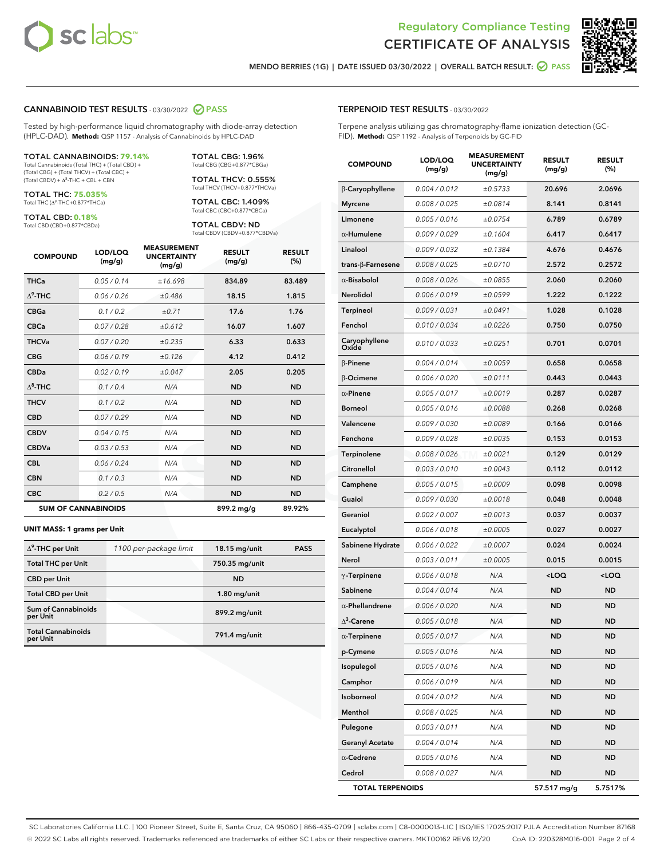



MENDO BERRIES (1G) | DATE ISSUED 03/30/2022 | OVERALL BATCH RESULT: **⊘** PASS

### CANNABINOID TEST RESULTS - 03/30/2022 2 PASS

Tested by high-performance liquid chromatography with diode-array detection (HPLC-DAD). **Method:** QSP 1157 - Analysis of Cannabinoids by HPLC-DAD

#### TOTAL CANNABINOIDS: **79.14%**

Total Cannabinoids (Total THC) + (Total CBD) + (Total CBG) + (Total THCV) + (Total CBC) +  $(Total CBDV) +  $\Delta^8$ -THC + CBL + CBN$ 

TOTAL THC: **75.035%** Total THC (Δ<sup>9</sup>-THC+0.877\*THCa)

TOTAL CBD: **0.18%**

Total CBD (CBD+0.877\*CBDa)

TOTAL CBG: 1.96% Total CBG (CBG+0.877\*CBGa)

TOTAL THCV: 0.555% Total THCV (THCV+0.877\*THCVa)

TOTAL CBC: 1.409% Total CBC (CBC+0.877\*CBCa)

TOTAL CBDV: ND Total CBDV (CBDV+0.877\*CBDVa)

| <b>COMPOUND</b>  | LOD/LOQ<br>(mg/g)          | <b>MEASUREMENT</b><br><b>UNCERTAINTY</b><br>(mg/g) | <b>RESULT</b><br>(mg/g) | <b>RESULT</b><br>(%) |
|------------------|----------------------------|----------------------------------------------------|-------------------------|----------------------|
| <b>THCa</b>      | 0.05/0.14                  | ±16.698                                            | 834.89                  | 83.489               |
| $\Lambda^9$ -THC | 0.06 / 0.26                | ±0.486                                             | 18.15                   | 1.815                |
| <b>CBGa</b>      | 0.1/0.2                    | ±0.71                                              | 17.6                    | 1.76                 |
| <b>CBCa</b>      | 0.07 / 0.28                | ±0.612                                             | 16.07                   | 1.607                |
| <b>THCVa</b>     | 0.07 / 0.20                | ±0.235                                             | 6.33                    | 0.633                |
| <b>CBG</b>       | 0.06/0.19                  | ±0.126                                             | 4.12                    | 0.412                |
| <b>CBDa</b>      | 0.02/0.19                  | ±0.047                                             | 2.05                    | 0.205                |
| $\Lambda^8$ -THC | 0.1 / 0.4                  | N/A                                                | <b>ND</b>               | <b>ND</b>            |
| <b>THCV</b>      | 0.1 / 0.2                  | N/A                                                | <b>ND</b>               | <b>ND</b>            |
| <b>CBD</b>       | 0.07/0.29                  | N/A                                                | <b>ND</b>               | <b>ND</b>            |
| <b>CBDV</b>      | 0.04 / 0.15                | N/A                                                | <b>ND</b>               | <b>ND</b>            |
| <b>CBDVa</b>     | 0.03 / 0.53                | N/A                                                | <b>ND</b>               | <b>ND</b>            |
| <b>CBL</b>       | 0.06 / 0.24                | N/A                                                | <b>ND</b>               | <b>ND</b>            |
| <b>CBN</b>       | 0.1 / 0.3                  | N/A                                                | <b>ND</b>               | <b>ND</b>            |
| <b>CBC</b>       | 0.2 / 0.5                  | N/A                                                | <b>ND</b>               | <b>ND</b>            |
|                  | <b>SUM OF CANNABINOIDS</b> |                                                    | 899.2 mg/g              | 89.92%               |

#### **UNIT MASS: 1 grams per Unit**

| $\Delta^9$ -THC per Unit               | 1100 per-package limit | 18.15 mg/unit  | <b>PASS</b> |
|----------------------------------------|------------------------|----------------|-------------|
| <b>Total THC per Unit</b>              |                        | 750.35 mg/unit |             |
| <b>CBD</b> per Unit                    |                        | <b>ND</b>      |             |
| <b>Total CBD per Unit</b>              |                        | $1.80$ mg/unit |             |
| <b>Sum of Cannabinoids</b><br>per Unit |                        | 899.2 mg/unit  |             |
| <b>Total Cannabinoids</b><br>per Unit  |                        | 791.4 mg/unit  |             |

#### TERPENOID TEST RESULTS - 03/30/2022

Terpene analysis utilizing gas chromatography-flame ionization detection (GC-FID). **Method:** QSP 1192 - Analysis of Terpenoids by GC-FID

| <b>COMPOUND</b>          | LOD/LOQ<br>(mg/g) | <b>MEASUREMENT</b><br><b>UNCERTAINTY</b><br>(mg/g) | <b>RESULT</b><br>(mg/g) | <b>RESULT</b><br>(%) |
|--------------------------|-------------------|----------------------------------------------------|-------------------------|----------------------|
| β-Caryophyllene          | 0.004 / 0.012     | ±0.5733                                            | 20.696                  | 2.0696               |
| <b>Myrcene</b>           | 0.008 / 0.025     | ±0.0814                                            | 8.141                   | 0.8141               |
| Limonene                 | 0.005 / 0.016     | ±0.0754                                            | 6.789                   | 0.6789               |
| $\alpha$ -Humulene       | 0.009/0.029       | ±0.1604                                            | 6.417                   | 0.6417               |
| Linalool                 | 0.009 / 0.032     | ±0.1384                                            | 4.676                   | 0.4676               |
| $trans-\beta$ -Farnesene | 0.008 / 0.025     | ±0.0710                                            | 2.572                   | 0.2572               |
| $\alpha$ -Bisabolol      | 0.008 / 0.026     | ±0.0855                                            | 2.060                   | 0.2060               |
| Nerolidol                | 0.006 / 0.019     | ±0.0599                                            | 1.222                   | 0.1222               |
| <b>Terpineol</b>         | 0.009 / 0.031     | ±0.0491                                            | 1.028                   | 0.1028               |
| Fenchol                  | 0.010 / 0.034     | ±0.0226                                            | 0.750                   | 0.0750               |
| Caryophyllene<br>Oxide   | 0.010 / 0.033     | ±0.0251                                            | 0.701                   | 0.0701               |
| <b>B-Pinene</b>          | 0.004 / 0.014     | ±0.0059                                            | 0.658                   | 0.0658               |
| β-Ocimene                | 0.006 / 0.020     | ±0.0111                                            | 0.443                   | 0.0443               |
| $\alpha$ -Pinene         | 0.005 / 0.017     | ±0.0019                                            | 0.287                   | 0.0287               |
| <b>Borneol</b>           | 0.005 / 0.016     | ±0.0088                                            | 0.268                   | 0.0268               |
| Valencene                | 0.009 / 0.030     | ±0.0089                                            | 0.166                   | 0.0166               |
| Fenchone                 | 0.009 / 0.028     | ±0.0035                                            | 0.153                   | 0.0153               |
| Terpinolene              | 0.008 / 0.026     | ±0.0021                                            | 0.129                   | 0.0129               |
| Citronellol              | 0.003 / 0.010     | ±0.0043                                            | 0.112                   | 0.0112               |
| Camphene                 | 0.005 / 0.015     | ±0.0009                                            | 0.098                   | 0.0098               |
| Guaiol                   | 0.009 / 0.030     | ±0.0018                                            | 0.048                   | 0.0048               |
| Geraniol                 | 0.002 / 0.007     | ±0.0013                                            | 0.037                   | 0.0037               |
| Eucalyptol               | 0.006 / 0.018     | ±0.0005                                            | 0.027                   | 0.0027               |
| Sabinene Hydrate         | 0.006 / 0.022     | ±0.0007                                            | 0.024                   | 0.0024               |
| Nerol                    | 0.003 / 0.011     | ±0.0005                                            | 0.015                   | 0.0015               |
| $\gamma$ -Terpinene      | 0.006 / 0.018     | N/A                                                | $<$ LOQ                 | $<$ LOQ              |
| Sabinene                 | 0.004 / 0.014     | N/A                                                | <b>ND</b>               | <b>ND</b>            |
| $\alpha$ -Phellandrene   | 0.006 / 0.020     | N/A                                                | ND                      | <b>ND</b>            |
| $\Delta^3$ -Carene       | 0.005 / 0.018     | N/A                                                | <b>ND</b>               | <b>ND</b>            |
| $\alpha$ -Terpinene      | 0.005 / 0.017     | N/A                                                | <b>ND</b>               | <b>ND</b>            |
| p-Cymene                 | 0.005 / 0.016     | N/A                                                | ND                      | ND                   |
| Isopulegol               | 0.005 / 0.016     | N/A                                                | <b>ND</b>               | <b>ND</b>            |
| Camphor                  | 0.006 / 0.019     | N/A                                                | <b>ND</b>               | <b>ND</b>            |
| Isoborneol               | 0.004 / 0.012     | N/A                                                | ND                      | ND                   |
| Menthol                  | 0.008 / 0.025     | N/A                                                | ND                      | <b>ND</b>            |
| Pulegone                 | 0.003 / 0.011     | N/A                                                | <b>ND</b>               | <b>ND</b>            |
| <b>Geranyl Acetate</b>   | 0.004 / 0.014     | N/A                                                | ND                      | ND                   |
| $\alpha$ -Cedrene        | 0.005 / 0.016     | N/A                                                | <b>ND</b>               | <b>ND</b>            |
| Cedrol                   | 0.008 / 0.027     | N/A                                                | <b>ND</b>               | ND                   |
| <b>TOTAL TERPENOIDS</b>  |                   |                                                    | 57.517 mg/g             | 5.7517%              |

SC Laboratories California LLC. | 100 Pioneer Street, Suite E, Santa Cruz, CA 95060 | 866-435-0709 | sclabs.com | C8-0000013-LIC | ISO/IES 17025:2017 PJLA Accreditation Number 87168 © 2022 SC Labs all rights reserved. Trademarks referenced are trademarks of either SC Labs or their respective owners. MKT00162 REV6 12/20 CoA ID: 220328M016-001 Page 2 of 4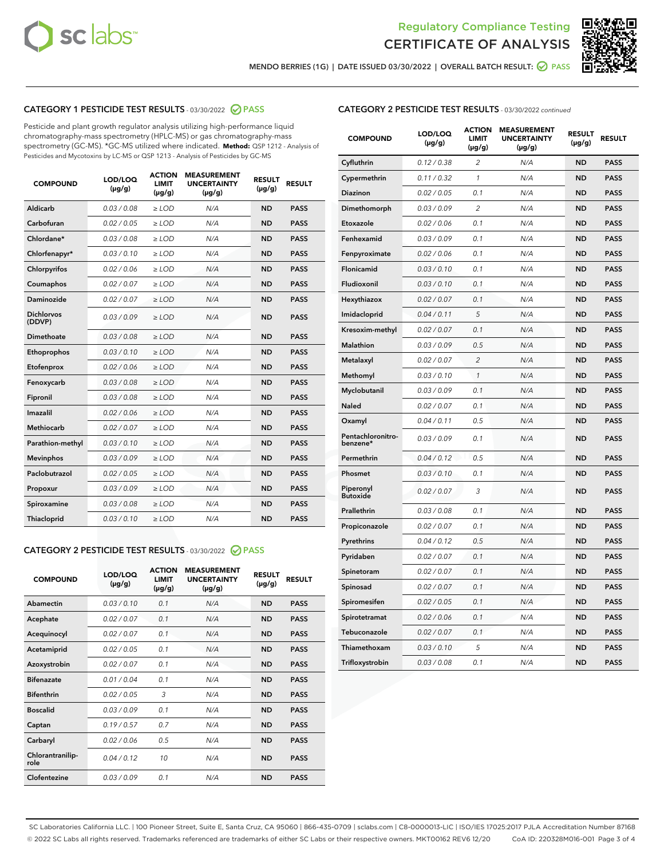



MENDO BERRIES (1G) | DATE ISSUED 03/30/2022 | OVERALL BATCH RESULT: ● PASS

# CATEGORY 1 PESTICIDE TEST RESULTS - 03/30/2022 2 PASS

Pesticide and plant growth regulator analysis utilizing high-performance liquid chromatography-mass spectrometry (HPLC-MS) or gas chromatography-mass spectrometry (GC-MS). \*GC-MS utilized where indicated. **Method:** QSP 1212 - Analysis of Pesticides and Mycotoxins by LC-MS or QSP 1213 - Analysis of Pesticides by GC-MS

| <b>COMPOUND</b>             | <b>LOD/LOQ</b><br>$(\mu g/g)$ | <b>ACTION</b><br><b>LIMIT</b><br>$(\mu g/g)$ | <b>MEASUREMENT</b><br><b>UNCERTAINTY</b><br>$(\mu g/g)$ | <b>RESULT</b><br>$(\mu g/g)$ | <b>RESULT</b> |
|-----------------------------|-------------------------------|----------------------------------------------|---------------------------------------------------------|------------------------------|---------------|
| <b>Aldicarb</b>             | 0.03 / 0.08                   | $\geq$ LOD                                   | N/A                                                     | <b>ND</b>                    | <b>PASS</b>   |
| Carbofuran                  | 0.02 / 0.05                   | $\ge$ LOD                                    | N/A                                                     | <b>ND</b>                    | <b>PASS</b>   |
| Chlordane*                  | 0.03/0.08                     | $>$ LOD                                      | N/A                                                     | <b>ND</b>                    | <b>PASS</b>   |
| Chlorfenapyr*               | 0.03/0.10                     | $\ge$ LOD                                    | N/A                                                     | <b>ND</b>                    | <b>PASS</b>   |
| Chlorpyrifos                | 0.02/0.06                     | $>$ LOD                                      | N/A                                                     | <b>ND</b>                    | <b>PASS</b>   |
| Coumaphos                   | 0.02 / 0.07                   | $\ge$ LOD                                    | N/A                                                     | <b>ND</b>                    | <b>PASS</b>   |
| Daminozide                  | 0.02 / 0.07                   | $\ge$ LOD                                    | N/A                                                     | <b>ND</b>                    | <b>PASS</b>   |
| <b>Dichlorvos</b><br>(DDVP) | 0.03/0.09                     | $>$ LOD                                      | N/A                                                     | <b>ND</b>                    | <b>PASS</b>   |
| Dimethoate                  | 0.03 / 0.08                   | $>$ LOD                                      | N/A                                                     | <b>ND</b>                    | <b>PASS</b>   |
| Ethoprophos                 | 0.03/0.10                     | $>$ LOD                                      | N/A                                                     | <b>ND</b>                    | <b>PASS</b>   |
| Etofenprox                  | 0.02 / 0.06                   | $\ge$ LOD                                    | N/A                                                     | <b>ND</b>                    | <b>PASS</b>   |
| Fenoxycarb                  | 0.03/0.08                     | $>$ LOD                                      | N/A                                                     | <b>ND</b>                    | <b>PASS</b>   |
| Fipronil                    | 0.03 / 0.08                   | $\ge$ LOD                                    | N/A                                                     | <b>ND</b>                    | <b>PASS</b>   |
| Imazalil                    | 0.02 / 0.06                   | $\ge$ LOD                                    | N/A                                                     | <b>ND</b>                    | <b>PASS</b>   |
| Methiocarb                  | 0.02 / 0.07                   | $\ge$ LOD                                    | N/A                                                     | <b>ND</b>                    | <b>PASS</b>   |
| Parathion-methyl            | 0.03/0.10                     | $>$ LOD                                      | N/A                                                     | <b>ND</b>                    | <b>PASS</b>   |
| <b>Mevinphos</b>            | 0.03/0.09                     | $\ge$ LOD                                    | N/A                                                     | <b>ND</b>                    | <b>PASS</b>   |
| Paclobutrazol               | 0.02 / 0.05                   | $\ge$ LOD                                    | N/A                                                     | <b>ND</b>                    | <b>PASS</b>   |
| Propoxur                    | 0.03/0.09                     | $\ge$ LOD                                    | N/A                                                     | <b>ND</b>                    | <b>PASS</b>   |
| Spiroxamine                 | 0.03 / 0.08                   | $\ge$ LOD                                    | N/A                                                     | <b>ND</b>                    | <b>PASS</b>   |
| Thiacloprid                 | 0.03/0.10                     | $\ge$ LOD                                    | N/A                                                     | <b>ND</b>                    | <b>PASS</b>   |

# CATEGORY 2 PESTICIDE TEST RESULTS - 03/30/2022 2 PASS

| <b>COMPOUND</b>          | LOD/LOO<br>$(\mu g/g)$ | <b>ACTION</b><br><b>LIMIT</b><br>$(\mu g/g)$ | <b>MEASUREMENT</b><br><b>UNCERTAINTY</b><br>$(\mu g/g)$ | <b>RESULT</b><br>$(\mu g/g)$ | <b>RESULT</b> |  |
|--------------------------|------------------------|----------------------------------------------|---------------------------------------------------------|------------------------------|---------------|--|
| Abamectin                | 0.03/0.10              | 0.1                                          | N/A                                                     | <b>ND</b>                    | <b>PASS</b>   |  |
| Acephate                 | 0.02/0.07              | 0.1                                          | N/A                                                     | <b>ND</b>                    | <b>PASS</b>   |  |
| Acequinocyl              | 0.02/0.07              | 0.1                                          | N/A                                                     | <b>ND</b>                    | <b>PASS</b>   |  |
| Acetamiprid              | 0.02/0.05              | 0.1                                          | N/A                                                     | <b>ND</b>                    | <b>PASS</b>   |  |
| Azoxystrobin             | 0.02/0.07              | 0.1                                          | N/A                                                     | <b>ND</b>                    | <b>PASS</b>   |  |
| <b>Bifenazate</b>        | 0.01/0.04              | 0.1                                          | N/A                                                     | <b>ND</b>                    | <b>PASS</b>   |  |
| <b>Bifenthrin</b>        | 0.02 / 0.05            | 3                                            | N/A                                                     | <b>ND</b>                    | <b>PASS</b>   |  |
| <b>Boscalid</b>          | 0.03/0.09              | 0.1                                          | N/A                                                     | <b>ND</b>                    | <b>PASS</b>   |  |
| Captan                   | 0.19/0.57              | 0.7                                          | N/A                                                     | <b>ND</b>                    | <b>PASS</b>   |  |
| Carbaryl                 | 0.02/0.06              | 0.5                                          | N/A                                                     | <b>ND</b>                    | <b>PASS</b>   |  |
| Chlorantranilip-<br>role | 0.04/0.12              | 10                                           | N/A                                                     | <b>ND</b>                    | <b>PASS</b>   |  |
| Clofentezine             | 0.03/0.09              | 0.1                                          | N/A                                                     | <b>ND</b>                    | <b>PASS</b>   |  |

# CATEGORY 2 PESTICIDE TEST RESULTS - 03/30/2022 continued

| <b>COMPOUND</b>               | LOD/LOQ<br>(µg/g) | <b>ACTION</b><br><b>LIMIT</b><br>$(\mu g/g)$ | <b>MEASUREMENT</b><br><b>UNCERTAINTY</b><br>$(\mu g/g)$ | <b>RESULT</b><br>(µg/g) | <b>RESULT</b> |
|-------------------------------|-------------------|----------------------------------------------|---------------------------------------------------------|-------------------------|---------------|
| Cyfluthrin                    | 0.12 / 0.38       | $\overline{c}$                               | N/A                                                     | <b>ND</b>               | <b>PASS</b>   |
| Cypermethrin                  | 0.11/0.32         | 1                                            | N/A                                                     | ND                      | <b>PASS</b>   |
| <b>Diazinon</b>               | 0.02 / 0.05       | 0.1                                          | N/A                                                     | ND                      | <b>PASS</b>   |
| Dimethomorph                  | 0.03 / 0.09       | 2                                            | N/A                                                     | ND                      | <b>PASS</b>   |
| Etoxazole                     | 0.02 / 0.06       | 0.1                                          | N/A                                                     | <b>ND</b>               | <b>PASS</b>   |
| Fenhexamid                    | 0.03 / 0.09       | 0.1                                          | N/A                                                     | <b>ND</b>               | <b>PASS</b>   |
| Fenpyroximate                 | 0.02 / 0.06       | 0.1                                          | N/A                                                     | ND                      | <b>PASS</b>   |
| Flonicamid                    | 0.03 / 0.10       | 0.1                                          | N/A                                                     | ND                      | <b>PASS</b>   |
| Fludioxonil                   | 0.03 / 0.10       | 0.1                                          | N/A                                                     | <b>ND</b>               | <b>PASS</b>   |
| Hexythiazox                   | 0.02 / 0.07       | 0.1                                          | N/A                                                     | ND                      | <b>PASS</b>   |
| Imidacloprid                  | 0.04 / 0.11       | 5                                            | N/A                                                     | ND                      | <b>PASS</b>   |
| Kresoxim-methyl               | 0.02 / 0.07       | 0.1                                          | N/A                                                     | <b>ND</b>               | <b>PASS</b>   |
| <b>Malathion</b>              | 0.03 / 0.09       | 0.5                                          | N/A                                                     | ND                      | <b>PASS</b>   |
| Metalaxyl                     | 0.02 / 0.07       | $\overline{c}$                               | N/A                                                     | ND                      | <b>PASS</b>   |
| Methomyl                      | 0.03 / 0.10       | 1                                            | N/A                                                     | <b>ND</b>               | <b>PASS</b>   |
| Myclobutanil                  | 0.03 / 0.09       | 0.1                                          | N/A                                                     | ND                      | <b>PASS</b>   |
| Naled                         | 0.02 / 0.07       | 0.1                                          | N/A                                                     | ND                      | <b>PASS</b>   |
| Oxamyl                        | 0.04 / 0.11       | 0.5                                          | N/A                                                     | ND                      | <b>PASS</b>   |
| Pentachloronitro-<br>benzene* | 0.03/0.09         | 0.1                                          | N/A                                                     | ND                      | <b>PASS</b>   |
| Permethrin                    | 0.04 / 0.12       | 0.5                                          | N/A                                                     | <b>ND</b>               | <b>PASS</b>   |
| Phosmet                       | 0.03 / 0.10       | 0.1                                          | N/A                                                     | <b>ND</b>               | <b>PASS</b>   |
| Piperonyl<br><b>Butoxide</b>  | 0.02 / 0.07       | 3                                            | N/A                                                     | ND                      | <b>PASS</b>   |
| Prallethrin                   | 0.03 / 0.08       | 0.1                                          | N/A                                                     | <b>ND</b>               | <b>PASS</b>   |
| Propiconazole                 | 0.02 / 0.07       | 0.1                                          | N/A                                                     | ND                      | <b>PASS</b>   |
| Pyrethrins                    | 0.04 / 0.12       | 0.5                                          | N/A                                                     | ND                      | <b>PASS</b>   |
| Pyridaben                     | 0.02 / 0.07       | 0.1                                          | N/A                                                     | ND                      | <b>PASS</b>   |
| Spinetoram                    | 0.02 / 0.07       | 0.1                                          | N/A                                                     | ND                      | <b>PASS</b>   |
| Spinosad                      | 0.02 / 0.07       | 0.1                                          | N/A                                                     | ND                      | <b>PASS</b>   |
| Spiromesifen                  | 0.02 / 0.05       | 0.1                                          | N/A                                                     | <b>ND</b>               | <b>PASS</b>   |
| Spirotetramat                 | 0.02 / 0.06       | 0.1                                          | N/A                                                     | ND                      | <b>PASS</b>   |
| Tebuconazole                  | 0.02 / 0.07       | 0.1                                          | N/A                                                     | ND                      | <b>PASS</b>   |
| Thiamethoxam                  | 0.03 / 0.10       | 5                                            | N/A                                                     | <b>ND</b>               | <b>PASS</b>   |
| Trifloxystrobin               | 0.03 / 0.08       | 0.1                                          | N/A                                                     | <b>ND</b>               | <b>PASS</b>   |

SC Laboratories California LLC. | 100 Pioneer Street, Suite E, Santa Cruz, CA 95060 | 866-435-0709 | sclabs.com | C8-0000013-LIC | ISO/IES 17025:2017 PJLA Accreditation Number 87168 © 2022 SC Labs all rights reserved. Trademarks referenced are trademarks of either SC Labs or their respective owners. MKT00162 REV6 12/20 CoA ID: 220328M016-001 Page 3 of 4